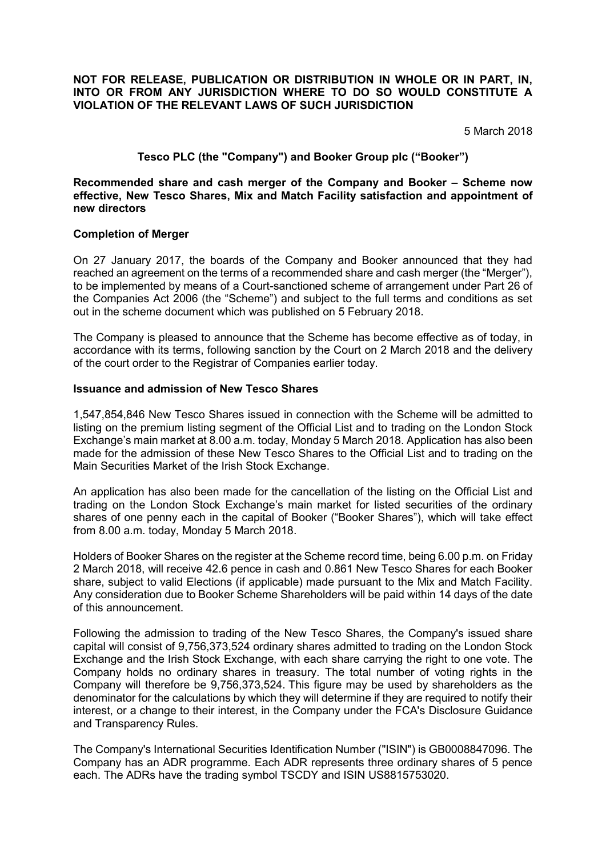### **NOT FOR RELEASE, PUBLICATION OR DISTRIBUTION IN WHOLE OR IN PART, IN, INTO OR FROM ANY JURISDICTION WHERE TO DO SO WOULD CONSTITUTE A VIOLATION OF THE RELEVANT LAWS OF SUCH JURISDICTION**

5 March 2018

# **Tesco PLC (the "Company") and Booker Group plc ("Booker")**

**Recommended share and cash merger of the Company and Booker – Scheme now effective, New Tesco Shares, Mix and Match Facility satisfaction and appointment of new directors** 

### **Completion of Merger**

On 27 January 2017, the boards of the Company and Booker announced that they had reached an agreement on the terms of a recommended share and cash merger (the "Merger"), to be implemented by means of a Court-sanctioned scheme of arrangement under Part 26 of the Companies Act 2006 (the "Scheme") and subject to the full terms and conditions as set out in the scheme document which was published on 5 February 2018.

The Company is pleased to announce that the Scheme has become effective as of today, in accordance with its terms, following sanction by the Court on 2 March 2018 and the delivery of the court order to the Registrar of Companies earlier today.

#### **Issuance and admission of New Tesco Shares**

1,547,854,846 New Tesco Shares issued in connection with the Scheme will be admitted to listing on the premium listing segment of the Official List and to trading on the London Stock Exchange's main market at 8.00 a.m. today, Monday 5 March 2018. Application has also been made for the admission of these New Tesco Shares to the Official List and to trading on the Main Securities Market of the Irish Stock Exchange.

An application has also been made for the cancellation of the listing on the Official List and trading on the London Stock Exchange's main market for listed securities of the ordinary shares of one penny each in the capital of Booker ("Booker Shares"), which will take effect from 8.00 a.m. today, Monday 5 March 2018.

Holders of Booker Shares on the register at the Scheme record time, being 6.00 p.m. on Friday 2 March 2018, will receive 42.6 pence in cash and 0.861 New Tesco Shares for each Booker share, subject to valid Elections (if applicable) made pursuant to the Mix and Match Facility. Any consideration due to Booker Scheme Shareholders will be paid within 14 days of the date of this announcement.

Following the admission to trading of the New Tesco Shares, the Company's issued share capital will consist of 9,756,373,524 ordinary shares admitted to trading on the London Stock Exchange and the Irish Stock Exchange, with each share carrying the right to one vote. The Company holds no ordinary shares in treasury. The total number of voting rights in the Company will therefore be 9,756,373,524. This figure may be used by shareholders as the denominator for the calculations by which they will determine if they are required to notify their interest, or a change to their interest, in the Company under the FCA's Disclosure Guidance and Transparency Rules.

The Company's International Securities Identification Number ("ISIN") is GB0008847096. The Company has an ADR programme. Each ADR represents three ordinary shares of 5 pence each. The ADRs have the trading symbol TSCDY and ISIN US8815753020.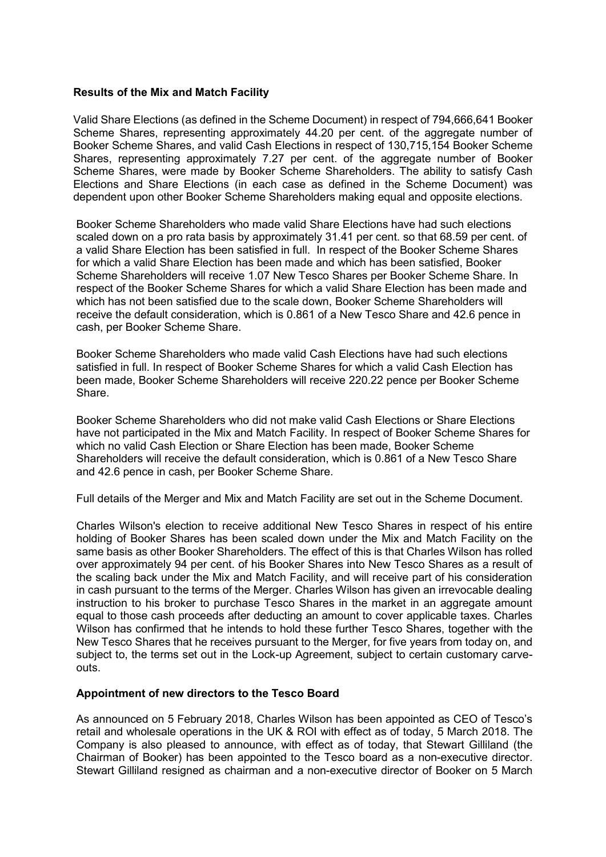### **Results of the Mix and Match Facility**

Valid Share Elections (as defined in the Scheme Document) in respect of 794,666,641 Booker Scheme Shares, representing approximately 44.20 per cent. of the aggregate number of Booker Scheme Shares, and valid Cash Elections in respect of 130,715,154 Booker Scheme Shares, representing approximately 7.27 per cent. of the aggregate number of Booker Scheme Shares, were made by Booker Scheme Shareholders. The ability to satisfy Cash Elections and Share Elections (in each case as defined in the Scheme Document) was dependent upon other Booker Scheme Shareholders making equal and opposite elections.

Booker Scheme Shareholders who made valid Share Elections have had such elections scaled down on a pro rata basis by approximately 31.41 per cent. so that 68.59 per cent. of a valid Share Election has been satisfied in full. In respect of the Booker Scheme Shares for which a valid Share Election has been made and which has been satisfied, Booker Scheme Shareholders will receive 1.07 New Tesco Shares per Booker Scheme Share. In respect of the Booker Scheme Shares for which a valid Share Election has been made and which has not been satisfied due to the scale down, Booker Scheme Shareholders will receive the default consideration, which is 0.861 of a New Tesco Share and 42.6 pence in cash, per Booker Scheme Share.

Booker Scheme Shareholders who made valid Cash Elections have had such elections satisfied in full. In respect of Booker Scheme Shares for which a valid Cash Election has been made, Booker Scheme Shareholders will receive 220.22 pence per Booker Scheme Share.

Booker Scheme Shareholders who did not make valid Cash Elections or Share Elections have not participated in the Mix and Match Facility. In respect of Booker Scheme Shares for which no valid Cash Election or Share Election has been made, Booker Scheme Shareholders will receive the default consideration, which is 0.861 of a New Tesco Share and 42.6 pence in cash, per Booker Scheme Share.

Full details of the Merger and Mix and Match Facility are set out in the Scheme Document.

Charles Wilson's election to receive additional New Tesco Shares in respect of his entire holding of Booker Shares has been scaled down under the Mix and Match Facility on the same basis as other Booker Shareholders. The effect of this is that Charles Wilson has rolled over approximately 94 per cent. of his Booker Shares into New Tesco Shares as a result of the scaling back under the Mix and Match Facility, and will receive part of his consideration in cash pursuant to the terms of the Merger. Charles Wilson has given an irrevocable dealing instruction to his broker to purchase Tesco Shares in the market in an aggregate amount equal to those cash proceeds after deducting an amount to cover applicable taxes. Charles Wilson has confirmed that he intends to hold these further Tesco Shares, together with the New Tesco Shares that he receives pursuant to the Merger, for five years from today on, and subject to, the terms set out in the Lock-up Agreement, subject to certain customary carveouts.

#### **Appointment of new directors to the Tesco Board**

As announced on 5 February 2018, Charles Wilson has been appointed as CEO of Tesco's retail and wholesale operations in the UK & ROI with effect as of today, 5 March 2018. The Company is also pleased to announce, with effect as of today, that Stewart Gilliland (the Chairman of Booker) has been appointed to the Tesco board as a non-executive director. Stewart Gilliland resigned as chairman and a non-executive director of Booker on 5 March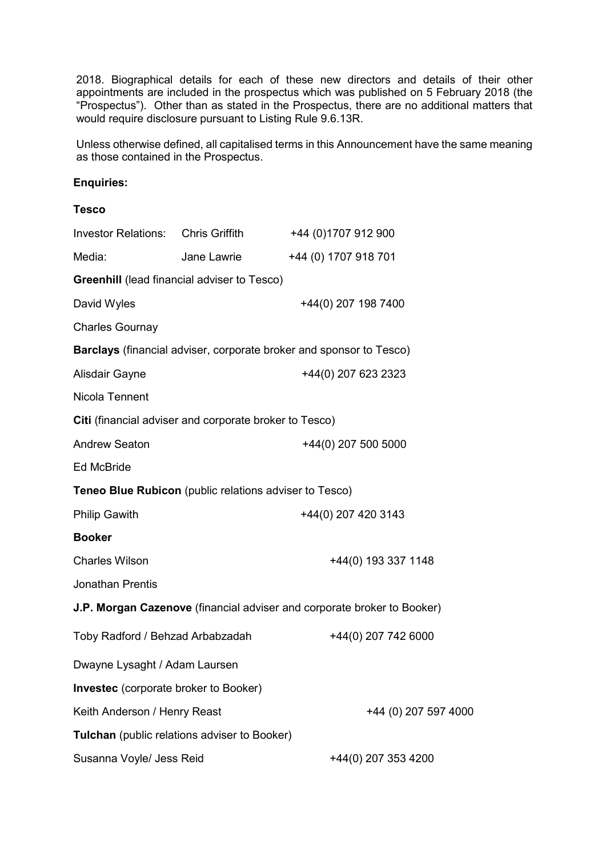2018. Biographical details for each of these new directors and details of their other appointments are included in the prospectus which was published on 5 February 2018 (the "Prospectus"). Other than as stated in the Prospectus, there are no additional matters that would require disclosure pursuant to Listing Rule 9.6.13R.

Unless otherwise defined, all capitalised terms in this Announcement have the same meaning as those contained in the Prospectus.

# **Enquiries:**

### **Tesco**

| <b>Investor Relations:</b>                             | Chris Griffith | +44 (0)1707 912 900                                                     |
|--------------------------------------------------------|----------------|-------------------------------------------------------------------------|
| Media:                                                 | Jane Lawrie    | +44 (0) 1707 918 701                                                    |
| <b>Greenhill</b> (lead financial adviser to Tesco)     |                |                                                                         |
| David Wyles                                            |                | +44(0) 207 198 7400                                                     |
| <b>Charles Gournay</b>                                 |                |                                                                         |
|                                                        |                | Barclays (financial adviser, corporate broker and sponsor to Tesco)     |
| Alisdair Gayne                                         |                | +44(0) 207 623 2323                                                     |
| Nicola Tennent                                         |                |                                                                         |
| Citi (financial adviser and corporate broker to Tesco) |                |                                                                         |
| <b>Andrew Seaton</b>                                   |                | +44(0) 207 500 5000                                                     |
| <b>Ed McBride</b>                                      |                |                                                                         |
| Teneo Blue Rubicon (public relations adviser to Tesco) |                |                                                                         |
| <b>Philip Gawith</b>                                   |                | +44(0) 207 420 3143                                                     |
| <b>Booker</b>                                          |                |                                                                         |
| <b>Charles Wilson</b>                                  |                | +44(0) 193 337 1148                                                     |
| Jonathan Prentis                                       |                |                                                                         |
|                                                        |                | J.P. Morgan Cazenove (financial adviser and corporate broker to Booker) |
| Toby Radford / Behzad Arbabzadah                       |                | +44(0) 207 742 6000                                                     |
| Dwayne Lysaght / Adam Laursen                          |                |                                                                         |
| <b>Investec</b> (corporate broker to Booker)           |                |                                                                         |
| Keith Anderson / Henry Reast                           |                | +44 (0) 207 597 4000                                                    |
| Tulchan (public relations adviser to Booker)           |                |                                                                         |
| Susanna Voyle/ Jess Reid                               |                | +44(0) 207 353 4200                                                     |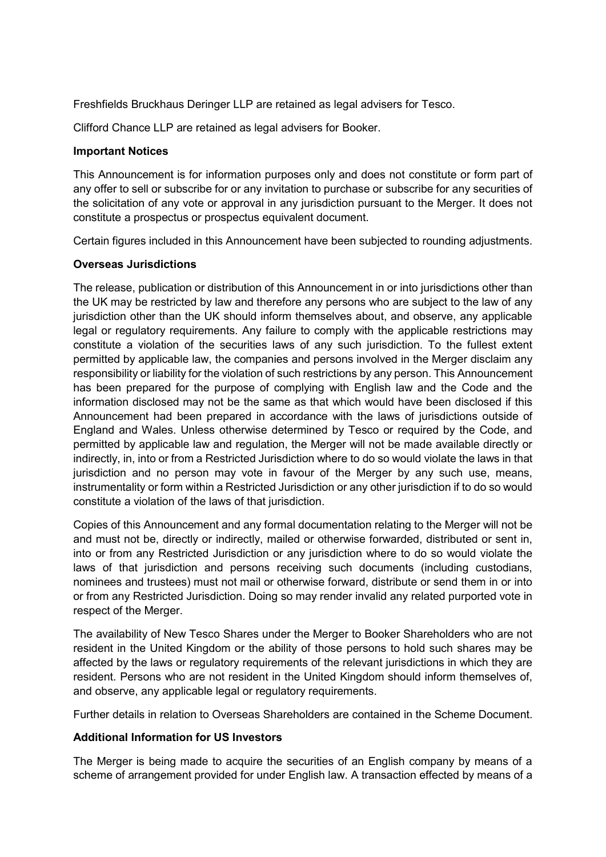Freshfields Bruckhaus Deringer LLP are retained as legal advisers for Tesco.

Clifford Chance LLP are retained as legal advisers for Booker.

### **Important Notices**

This Announcement is for information purposes only and does not constitute or form part of any offer to sell or subscribe for or any invitation to purchase or subscribe for any securities of the solicitation of any vote or approval in any jurisdiction pursuant to the Merger. It does not constitute a prospectus or prospectus equivalent document.

Certain figures included in this Announcement have been subjected to rounding adjustments.

## **Overseas Jurisdictions**

The release, publication or distribution of this Announcement in or into jurisdictions other than the UK may be restricted by law and therefore any persons who are subject to the law of any jurisdiction other than the UK should inform themselves about, and observe, any applicable legal or regulatory requirements. Any failure to comply with the applicable restrictions may constitute a violation of the securities laws of any such jurisdiction. To the fullest extent permitted by applicable law, the companies and persons involved in the Merger disclaim any responsibility or liability for the violation of such restrictions by any person. This Announcement has been prepared for the purpose of complying with English law and the Code and the information disclosed may not be the same as that which would have been disclosed if this Announcement had been prepared in accordance with the laws of jurisdictions outside of England and Wales. Unless otherwise determined by Tesco or required by the Code, and permitted by applicable law and regulation, the Merger will not be made available directly or indirectly, in, into or from a Restricted Jurisdiction where to do so would violate the laws in that jurisdiction and no person may vote in favour of the Merger by any such use, means, instrumentality or form within a Restricted Jurisdiction or any other jurisdiction if to do so would constitute a violation of the laws of that jurisdiction.

Copies of this Announcement and any formal documentation relating to the Merger will not be and must not be, directly or indirectly, mailed or otherwise forwarded, distributed or sent in, into or from any Restricted Jurisdiction or any jurisdiction where to do so would violate the laws of that jurisdiction and persons receiving such documents (including custodians, nominees and trustees) must not mail or otherwise forward, distribute or send them in or into or from any Restricted Jurisdiction. Doing so may render invalid any related purported vote in respect of the Merger.

The availability of New Tesco Shares under the Merger to Booker Shareholders who are not resident in the United Kingdom or the ability of those persons to hold such shares may be affected by the laws or regulatory requirements of the relevant jurisdictions in which they are resident. Persons who are not resident in the United Kingdom should inform themselves of, and observe, any applicable legal or regulatory requirements.

Further details in relation to Overseas Shareholders are contained in the Scheme Document.

## **Additional Information for US Investors**

The Merger is being made to acquire the securities of an English company by means of a scheme of arrangement provided for under English law. A transaction effected by means of a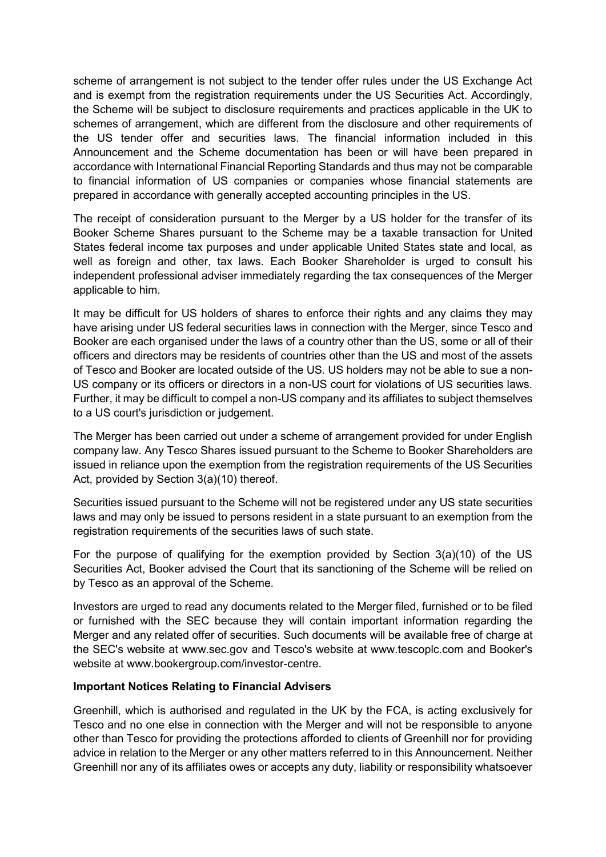scheme of arrangement is not subject to the tender offer rules under the US Exchange Act and is exempt from the registration requirements under the US Securities Act. Accordingly, the Scheme will be subject to disclosure requirements and practices applicable in the UK to schemes of arrangement, which are different from the disclosure and other requirements of the US tender offer and securities laws. The financial information included in this Announcement and the Scheme documentation has been or will have been prepared in accordance with International Financial Reporting Standards and thus may not be comparable to financial information of US companies or companies whose financial statements are prepared in accordance with generally accepted accounting principles in the US.

The receipt of consideration pursuant to the Merger by a US holder for the transfer of its Booker Scheme Shares pursuant to the Scheme may be a taxable transaction for United States federal income tax purposes and under applicable United States state and local, as well as foreign and other, tax laws. Each Booker Shareholder is urged to consult his independent professional adviser immediately regarding the tax consequences of the Merger applicable to him.

It may be difficult for US holders of shares to enforce their rights and any claims they may have arising under US federal securities laws in connection with the Merger, since Tesco and Booker are each organised under the laws of a country other than the US, some or all of their officers and directors may be residents of countries other than the US and most of the assets of Tesco and Booker are located outside of the US. US holders may not be able to sue a non-US company or its officers or directors in a non-US court for violations of US securities laws. Further, it may be difficult to compel a non-US company and its affiliates to subject themselves to a US court's jurisdiction or judgement.

The Merger has been carried out under a scheme of arrangement provided for under English company law. Any Tesco Shares issued pursuant to the Scheme to Booker Shareholders are issued in reliance upon the exemption from the registration requirements of the US Securities Act, provided by Section 3(a)(10) thereof.

Securities issued pursuant to the Scheme will not be registered under any US state securities laws and may only be issued to persons resident in a state pursuant to an exemption from the registration requirements of the securities laws of such state.

For the purpose of qualifying for the exemption provided by Section 3(a)(10) of the US Securities Act, Booker advised the Court that its sanctioning of the Scheme will be relied on by Tesco as an approval of the Scheme.

Investors are urged to read any documents related to the Merger filed, furnished or to be filed or furnished with the SEC because they will contain important information regarding the Merger and any related offer of securities. Such documents will be available free of charge at the SEC's website at [www.sec.gov](http://www.sec.gov/) and Tesco's website at www.tescoplc.com and Booker's website at [www.bookergroup.com/investor-centre.](http://www.bookergroup.com/investor-centre)

## **Important Notices Relating to Financial Advisers**

Greenhill, which is authorised and regulated in the UK by the FCA, is acting exclusively for Tesco and no one else in connection with the Merger and will not be responsible to anyone other than Tesco for providing the protections afforded to clients of Greenhill nor for providing advice in relation to the Merger or any other matters referred to in this Announcement. Neither Greenhill nor any of its affiliates owes or accepts any duty, liability or responsibility whatsoever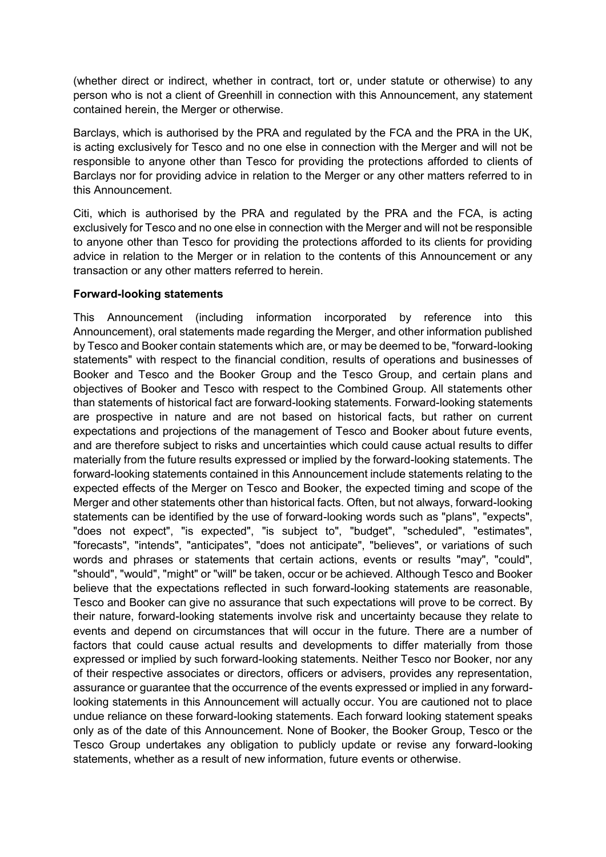(whether direct or indirect, whether in contract, tort or, under statute or otherwise) to any person who is not a client of Greenhill in connection with this Announcement, any statement contained herein, the Merger or otherwise.

Barclays, which is authorised by the PRA and regulated by the FCA and the PRA in the UK, is acting exclusively for Tesco and no one else in connection with the Merger and will not be responsible to anyone other than Tesco for providing the protections afforded to clients of Barclays nor for providing advice in relation to the Merger or any other matters referred to in this Announcement.

Citi, which is authorised by the PRA and regulated by the PRA and the FCA, is acting exclusively for Tesco and no one else in connection with the Merger and will not be responsible to anyone other than Tesco for providing the protections afforded to its clients for providing advice in relation to the Merger or in relation to the contents of this Announcement or any transaction or any other matters referred to herein.

## **Forward-looking statements**

This Announcement (including information incorporated by reference into this Announcement), oral statements made regarding the Merger, and other information published by Tesco and Booker contain statements which are, or may be deemed to be, "forward-looking statements" with respect to the financial condition, results of operations and businesses of Booker and Tesco and the Booker Group and the Tesco Group, and certain plans and objectives of Booker and Tesco with respect to the Combined Group. All statements other than statements of historical fact are forward-looking statements. Forward-looking statements are prospective in nature and are not based on historical facts, but rather on current expectations and projections of the management of Tesco and Booker about future events, and are therefore subject to risks and uncertainties which could cause actual results to differ materially from the future results expressed or implied by the forward-looking statements. The forward-looking statements contained in this Announcement include statements relating to the expected effects of the Merger on Tesco and Booker, the expected timing and scope of the Merger and other statements other than historical facts. Often, but not always, forward-looking statements can be identified by the use of forward-looking words such as "plans", "expects", "does not expect", "is expected", "is subject to", "budget", "scheduled", "estimates", "forecasts", "intends", "anticipates", "does not anticipate", "believes", or variations of such words and phrases or statements that certain actions, events or results "may", "could", "should", "would", "might" or "will" be taken, occur or be achieved. Although Tesco and Booker believe that the expectations reflected in such forward-looking statements are reasonable, Tesco and Booker can give no assurance that such expectations will prove to be correct. By their nature, forward-looking statements involve risk and uncertainty because they relate to events and depend on circumstances that will occur in the future. There are a number of factors that could cause actual results and developments to differ materially from those expressed or implied by such forward-looking statements. Neither Tesco nor Booker, nor any of their respective associates or directors, officers or advisers, provides any representation, assurance or guarantee that the occurrence of the events expressed or implied in any forwardlooking statements in this Announcement will actually occur. You are cautioned not to place undue reliance on these forward-looking statements. Each forward looking statement speaks only as of the date of this Announcement. None of Booker, the Booker Group, Tesco or the Tesco Group undertakes any obligation to publicly update or revise any forward-looking statements, whether as a result of new information, future events or otherwise.